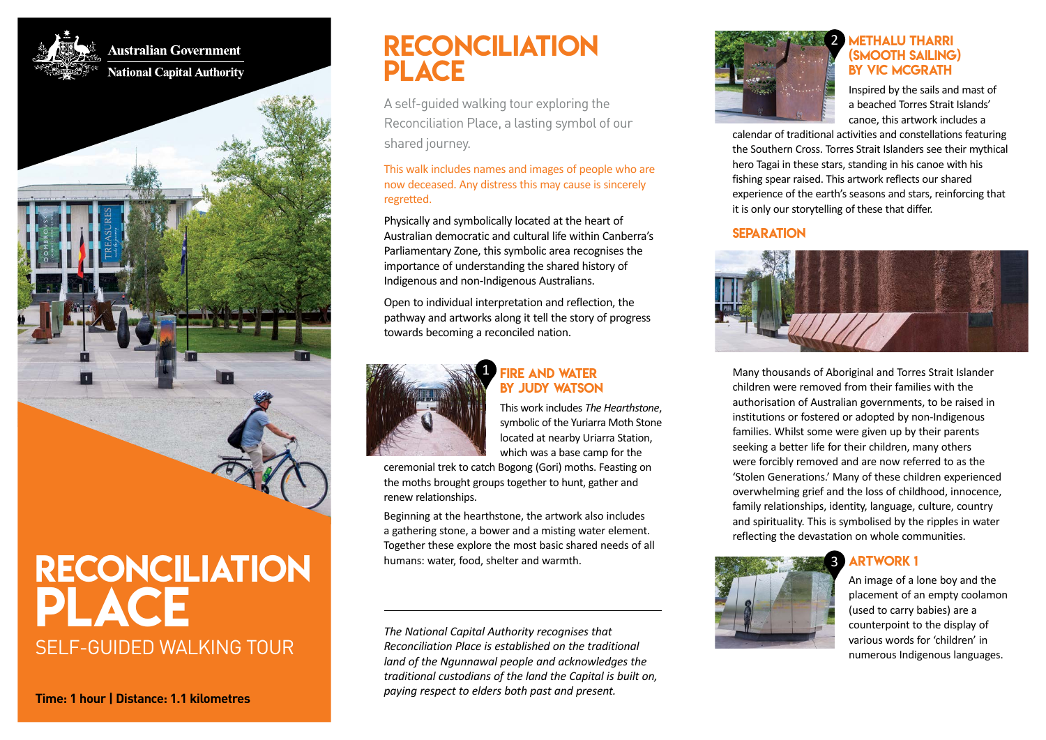

**Australian Government National Capital Authority** 

# RECONCILIATION PLACE

A self-guided walking tour exploring the Reconciliation Place, a lasting symbol of our shared journey.

This walk includes names and images of people who are now deceased. Any distress this may cause is sincerely regretted.

Physically and symbolically located at the heart of Australian democratic and cultural life within Canberra's Parliamentary Zone, this symbolic area recognises the importance of understanding the shared history of Indigenous and non-Indigenous Australians.

Open to individual interpretation and reflection, the pathway and artworks along it tell the story of progress towards becoming a reconciled nation.



### FIRE AND WATER BY JUDY WATSON

This work includes *The Hearthstone*, symbolic of the Yuriarra Moth Stone located at nearby Uriarra Station, which was a base camp for the

ceremonial trek to catch Bogong (Gori) moths. Feasting on the moths brought groups together to hunt, gather and renew relationships.

Beginning at the hearthstone, the artwork also includes a gathering stone, a bower and a misting water element. Together these explore the most basic shared needs of all humans: water, food, shelter and warmth.

*The National Capital Authority recognises that Reconciliation Place is established on the traditional land of the Ngunnawal people and acknowledges the traditional custodians of the land the Capital is built on, paying respect to elders both past and present.*



### METHALU THARRI (SMOOTH SAILING) BY VIC MCGRATH

Inspired by the sails and mast of a beached Torres Strait Islands' canoe, this artwork includes a

calendar of traditional activities and constellations featuring the Southern Cross. Torres Strait Islanders see their mythical hero Tagai in these stars, standing in his canoe with his fishing spear raised. This artwork reflects our shared experience of the earth's seasons and stars, reinforcing that it is only our storytelling of these that differ.

### **SEPARATION**



Many thousands of Aboriginal and Torres Strait Islander children were removed from their families with the authorisation of Australian governments, to be raised in institutions or fostered or adopted by non-Indigenous families. Whilst some were given up by their parents seeking a better life for their children, many others were forcibly removed and are now referred to as the 'Stolen Generations.' Many of these children experienced overwhelming grief and the loss of childhood, innocence, family relationships, identity, language, culture, country and spirituality. This is symbolised by the ripples in water reflecting the devastation on whole communities.

### ARTWORK 1 3



An image of a lone boy and the placement of an empty coolamon (used to carry babies) are a counterpoint to the display of various words for 'children' in numerous Indigenous languages.

SELF-GUIDED WALKING TOUR RECONCILIATION PLACE

**Time: 1 hour | Distance: 1.1 kilometres**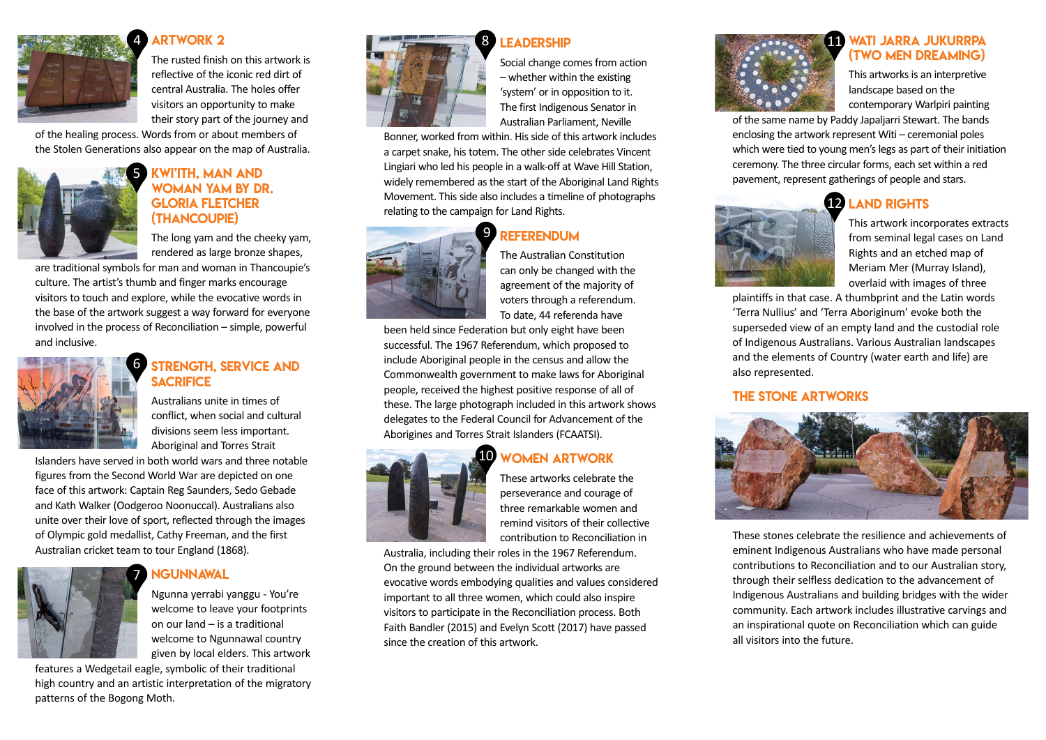

### **ARTWORK 2**

The rusted finish on this artwork is reflective of the iconic red dirt of central Australia. The holes offer visitors an opportunity to make their story part of the journey and

of the healing process. Words from or about members of the Stolen Generations also appear on the map of Australia.



### KWI'ITH, MAN AND **OMAN YAM BY DR.** GLORIA FLETCHER (THANCOUPIE)

The long yam and the cheeky yam, rendered as large bronze shapes,

are traditional symbols for man and woman in Thancoupie's culture. The artist's thumb and finger marks encourage visitors to touch and explore, while the evocative words in the base of the artwork suggest a way forward for everyone involved in the process of Reconciliation – simple, powerful and inclusive.



### STRENGTH, SERVICE AND **SACRIFICE**

Australians unite in times of conflict, when social and cultural divisions seem less important. Aboriginal and Torres Strait

Islanders have served in both world wars and three notable figures from the Second World War are depicted on one face of this artwork: Captain Reg Saunders, Sedo Gebade and Kath Walker (Oodgeroo Noonuccal). Australians also unite over their love of sport, reflected through the images of Olympic gold medallist, Cathy Freeman, and the first Australian cricket team to tour England (1868).

# 7

## **NGUNNAWAL**

Ngunna yerrabi yanggu - You're welcome to leave your footprints on our land – is a traditional welcome to Ngunnawal country given by local elders. This artwork

features a Wedgetail eagle, symbolic of their traditional high country and an artistic interpretation of the migratory patterns of the Bogong Moth.



# **LEADERSHIP**

Social change comes from action – whether within the existing 'system' or in opposition to it. The first Indigenous Senator in Australian Parliament, Neville

Bonner, worked from within. His side of this artwork includes a carpet snake, his totem. The other side celebrates Vincent Lingiari who led his people in a walk-off at Wave Hill Station, widely remembered as the start of the Aboriginal Land Rights Movement. This side also includes a timeline of photographs relating to the campaign for Land Rights.





The Australian Constitution can only be changed with the agreement of the majority of voters through a referendum. To date, 44 referenda have

been held since Federation but only eight have been successful. The 1967 Referendum, which proposed to include Aboriginal people in the census and allow the Commonwealth government to make laws for Aboriginal people, received the highest positive response of all of these. The large photograph included in this artwork shows delegates to the Federal Council for Advancement of the Aborigines and Torres Strait Islanders (FCAATSI).

### WOMEN ARTWORK 10



These artworks celebrate the perseverance and courage of three remarkable women and remind visitors of their collective contribution to Reconciliation in

Australia, including their roles in the 1967 Referendum. On the ground between the individual artworks are evocative words embodying qualities and values considered important to all three women, which could also inspire visitors to participate in the Reconciliation process. Both Faith Bandler (2015) and Evelyn Scott (2017) have passed since the creation of this artwork.



### WATI JARRA JUKURRPA (TWO MEN DREAMING)

This artworks is an interpretive landscape based on the contemporary Warlpiri painting

of the same name by Paddy Japaljarri Stewart. The bands enclosing the artwork represent Witi – ceremonial poles which were tied to young men's legs as part of their initiation ceremony. The three circular forms, each set within a red pavement, represent gatherings of people and stars.

# 12 LAND RIGHTS



This artwork incorporates extracts from seminal legal cases on Land Rights and an etched map of Meriam Mer (Murray Island), overlaid with images of three

plaintiffs in that case. A thumbprint and the Latin words 'Terra Nullius' and 'Terra Aboriginum' evoke both the superseded view of an empty land and the custodial role of Indigenous Australians. Various Australian landscapes and the elements of Country (water earth and life) are also represented.

### THE STONE ARTWORKS



These stones celebrate the resilience and achievements of eminent Indigenous Australians who have made personal contributions to Reconciliation and to our Australian story, through their selfless dedication to the advancement of Indigenous Australians and building bridges with the wider community. Each artwork includes illustrative carvings and an inspirational quote on Reconciliation which can guide all visitors into the future.